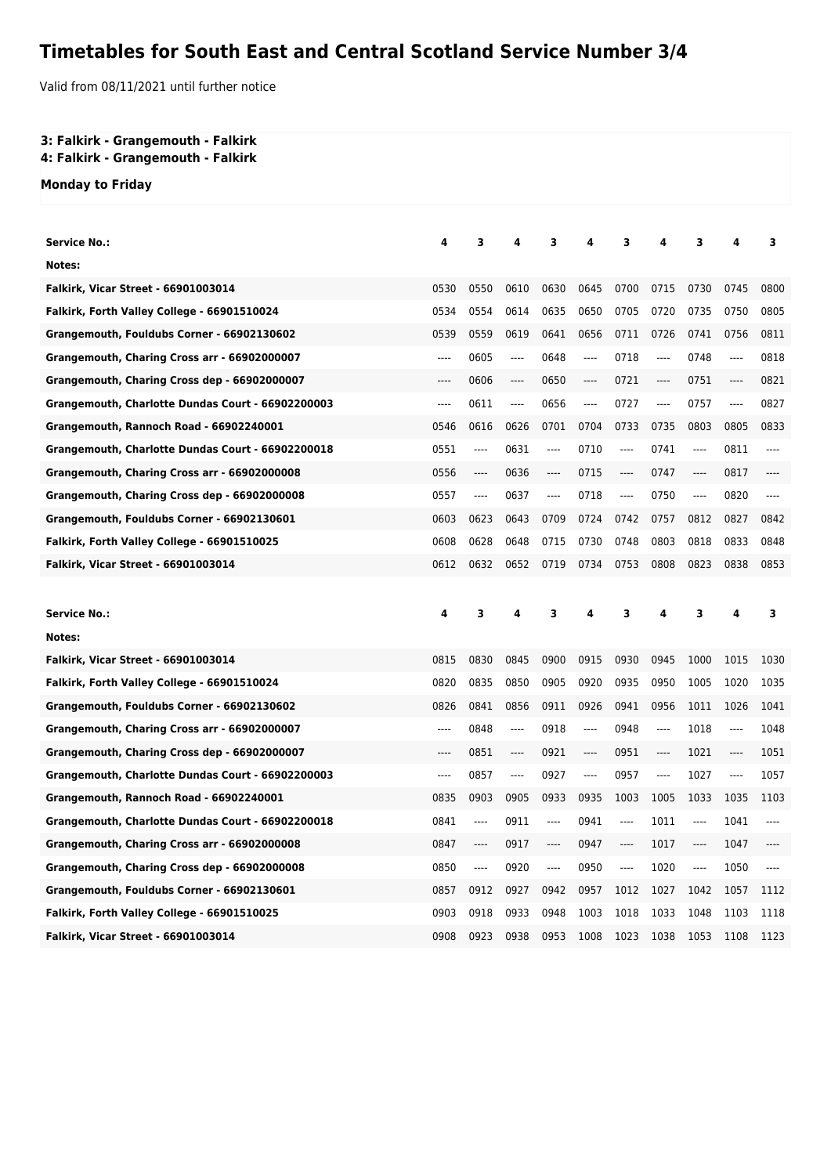## **Timetables for South East and Central Scotland Service Number 3/4**

Valid from 08/11/2021 until further notice

## **3: Falkirk - Grangemouth - Falkirk**

**4: Falkirk - Grangemouth - Falkirk**

**Monday to Friday**

| <b>Service No.:</b>                               | 4     | з     |                | 3    |       | 3     |       | 3     |      | з              |
|---------------------------------------------------|-------|-------|----------------|------|-------|-------|-------|-------|------|----------------|
| Notes:                                            |       |       |                |      |       |       |       |       |      |                |
| Falkirk, Vicar Street - 66901003014               | 0530  | 0550  | 0610           | 0630 | 0645  | 0700  | 0715  | 0730  | 0745 | 0800           |
| Falkirk, Forth Valley College - 66901510024       | 0534  | 0554  | 0614           | 0635 | 0650  | 0705  | 0720  | 0735  | 0750 | 0805           |
| Grangemouth, Fouldubs Corner - 66902130602        | 0539  | 0559  | 0619           | 0641 | 0656  | 0711  | 0726  | 0741  | 0756 | 0811           |
| Grangemouth, Charing Cross arr - 66902000007      | ----  | 0605  | $---$          | 0648 | $---$ | 0718  | ----  | 0748  | ---- | 0818           |
| Grangemouth, Charing Cross dep - 66902000007      | ----  | 0606  | ----           | 0650 | ----  | 0721  | $---$ | 0751  | ---- | 0821           |
| Grangemouth, Charlotte Dundas Court - 66902200003 | ----  | 0611  | ----           | 0656 | ----  | 0727  | ----  | 0757  | ---- | 0827           |
| Grangemouth, Rannoch Road - 66902240001           | 0546  | 0616  | 0626           | 0701 | 0704  | 0733  | 0735  | 0803  | 0805 | 0833           |
| Grangemouth, Charlotte Dundas Court - 66902200018 | 0551  | ----  | 0631           | ---- | 0710  | ----  | 0741  | ----  | 0811 | $\overline{a}$ |
| Grangemouth, Charing Cross arr - 66902000008      | 0556  | ----  | 0636           | ---- | 0715  | $---$ | 0747  | ----  | 0817 | ----           |
| Grangemouth, Charing Cross dep - 66902000008      | 0557  | $---$ | 0637           | ---- | 0718  | ----  | 0750  | $---$ | 0820 | $---$          |
| Grangemouth, Fouldubs Corner - 66902130601        | 0603  | 0623  | 0643           | 0709 | 0724  | 0742  | 0757  | 0812  | 0827 | 0842           |
| Falkirk, Forth Valley College - 66901510025       | 0608  | 0628  | 0648           | 0715 | 0730  | 0748  | 0803  | 0818  | 0833 | 0848           |
| Falkirk, Vicar Street - 66901003014               | 0612  | 0632  | 0652           | 0719 | 0734  | 0753  | 0808  | 0823  | 0838 | 0853           |
|                                                   |       |       |                |      |       |       |       |       |      |                |
|                                                   |       |       |                |      |       |       |       |       |      |                |
| <b>Service No.:</b>                               | 4     | 3     | 4              | 3    | 4     | 3     | 4     | 3     | 4    | 3              |
| Notes:                                            |       |       |                |      |       |       |       |       |      |                |
| Falkirk, Vicar Street - 66901003014               | 0815  | 0830  | 0845           | 0900 | 0915  | 0930  | 0945  | 1000  | 1015 | 1030           |
| Falkirk, Forth Valley College - 66901510024       | 0820  | 0835  | 0850           | 0905 | 0920  | 0935  | 0950  | 1005  | 1020 | 1035           |
| Grangemouth, Fouldubs Corner - 66902130602        | 0826  | 0841  | 0856           | 0911 | 0926  | 0941  | 0956  | 1011  | 1026 | 1041           |
| Grangemouth, Charing Cross arr - 66902000007      | ----  | 0848  | $---$          | 0918 | $---$ | 0948  | ----  | 1018  | ---- | 1048           |
| Grangemouth, Charing Cross dep - 66902000007      | ----  | 0851  | ----           | 0921 | ----  | 0951  | ----  | 1021  | ---- | 1051           |
| Grangemouth, Charlotte Dundas Court - 66902200003 | $---$ | 0857  | $\overline{a}$ | 0927 | ----  | 0957  | ----  | 1027  | ---- | 1057           |
| Grangemouth, Rannoch Road - 66902240001           | 0835  | 0903  | 0905           | 0933 | 0935  | 1003  | 1005  | 1033  | 1035 | 1103           |
| Grangemouth, Charlotte Dundas Court - 66902200018 | 0841  | $---$ | 0911           | ---- | 0941  | ----  | 1011  | $---$ | 1041 | $---$          |
| Grangemouth, Charing Cross arr - 66902000008      | 0847  | ----  | 0917           | ---- | 0947  | $---$ | 1017  | $---$ | 1047 |                |
| Grangemouth, Charing Cross dep - 66902000008      | 0850  | $---$ | 0920           | ---- | 0950  | $---$ | 1020  | $---$ | 1050 | $---$          |
| Grangemouth, Fouldubs Corner - 66902130601        | 0857  | 0912  | 0927           | 0942 | 0957  | 1012  | 1027  | 1042  | 1057 | 1112           |
| Falkirk, Forth Valley College - 66901510025       | 0903  | 0918  | 0933           | 0948 | 1003  | 1018  | 1033  | 1048  | 1103 | 1118           |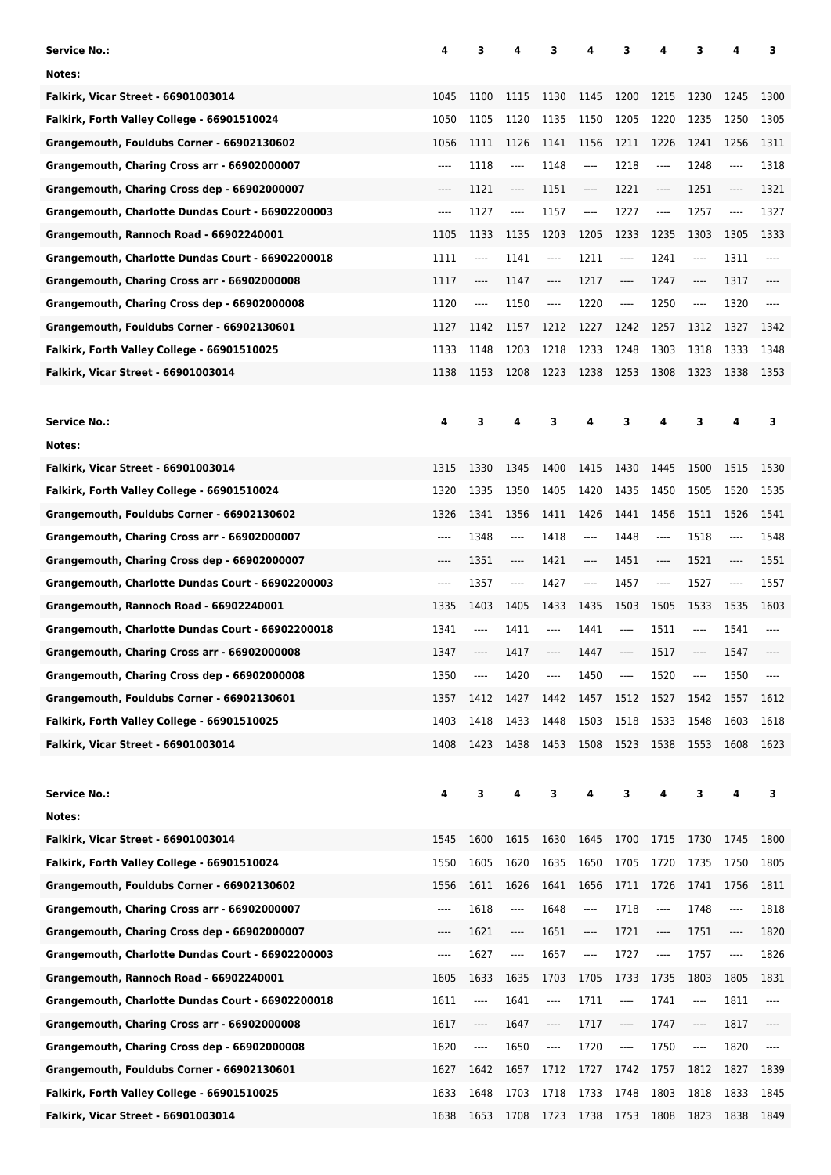| <b>Service No.:</b>                               | 4                             | 3                        | 4                             | 3     | 4                             | 3                             | 4                             | 3                             | 4    | з     |
|---------------------------------------------------|-------------------------------|--------------------------|-------------------------------|-------|-------------------------------|-------------------------------|-------------------------------|-------------------------------|------|-------|
| Notes:                                            |                               |                          |                               |       |                               |                               |                               |                               |      |       |
| Falkirk, Vicar Street - 66901003014               | 1045                          | 1100                     | 1115                          | 1130  | 1145                          | 1200                          | 1215                          | 1230                          | 1245 | 1300  |
| Falkirk, Forth Valley College - 66901510024       | 1050                          | 1105                     | 1120                          | 1135  | 1150                          | 1205                          | 1220                          | 1235                          | 1250 | 1305  |
| Grangemouth, Fouldubs Corner - 66902130602        | 1056                          | 1111                     | 1126                          | 1141  | 1156                          | 1211                          | 1226                          | 1241                          | 1256 | 1311  |
| Grangemouth, Charing Cross arr - 66902000007      | $---$                         | 1118                     | ----                          | 1148  | $---$                         | 1218                          | ----                          | 1248                          | ---- | 1318  |
| Grangemouth, Charing Cross dep - 66902000007      | $---$                         | 1121                     | ----                          | 1151  | ----                          | 1221                          | ----                          | 1251                          | ---- | 1321  |
| Grangemouth, Charlotte Dundas Court - 66902200003 | $-----$                       | 1127                     | ----                          | 1157  | $---$                         | 1227                          | $---$                         | 1257                          | ---- | 1327  |
| Grangemouth, Rannoch Road - 66902240001           | 1105                          | 1133                     | 1135                          | 1203  | 1205                          | 1233                          | 1235                          | 1303                          | 1305 | 1333  |
| Grangemouth, Charlotte Dundas Court - 66902200018 | 1111                          | ----                     | 1141                          | $---$ | 1211                          | ----                          | 1241                          | $\hspace{1.5cm} \textbf{---}$ | 1311 | ----  |
| Grangemouth, Charing Cross arr - 66902000008      | 1117                          | ----                     | 1147                          | $---$ | 1217                          | $\cdots$                      | 1247                          | $\hspace{1.5cm} \textbf{---}$ | 1317 | ----  |
| Grangemouth, Charing Cross dep - 66902000008      | 1120                          | $\cdots$                 | 1150                          | ----  | 1220                          | ----                          | 1250                          | $\hspace{1.5cm} \textbf{---}$ | 1320 | $---$ |
| Grangemouth, Fouldubs Corner - 66902130601        | 1127                          | 1142                     | 1157                          | 1212  | 1227                          | 1242                          | 1257                          | 1312                          | 1327 | 1342  |
| Falkirk, Forth Valley College - 66901510025       | 1133                          | 1148                     | 1203                          | 1218  | 1233                          | 1248                          | 1303                          | 1318                          | 1333 | 1348  |
| Falkirk, Vicar Street - 66901003014               | 1138                          | 1153                     | 1208                          | 1223  | 1238                          | 1253                          | 1308                          | 1323                          | 1338 | 1353  |
|                                                   |                               |                          |                               |       |                               |                               |                               |                               |      |       |
| <b>Service No.:</b>                               | 4                             | 3                        | 4                             | 3     | 4                             | 3                             | 4                             | 3                             | 4    | 3     |
| Notes:                                            |                               |                          |                               |       |                               |                               |                               |                               |      |       |
| <b>Falkirk, Vicar Street - 66901003014</b>        | 1315                          | 1330                     | 1345                          | 1400  | 1415                          | 1430                          | 1445                          | 1500                          | 1515 | 1530  |
| Falkirk, Forth Valley College - 66901510024       | 1320                          | 1335                     | 1350                          | 1405  | 1420                          | 1435                          | 1450                          | 1505                          | 1520 | 1535  |
| Grangemouth, Fouldubs Corner - 66902130602        | 1326                          | 1341                     | 1356                          | 1411  | 1426                          | 1441                          | 1456                          | 1511                          | 1526 | 1541  |
| Grangemouth, Charing Cross arr - 66902000007      | ----                          | 1348                     | $---$                         | 1418  | $\cdots$                      | 1448                          | $---$                         | 1518                          | ---- | 1548  |
| Grangemouth, Charing Cross dep - 66902000007      | ----                          | 1351                     | $---$                         | 1421  | $\cdots$                      | 1451                          | $\hspace{1.5cm} \textbf{---}$ | 1521                          | ---- | 1551  |
| Grangemouth, Charlotte Dundas Court - 66902200003 | ----                          | 1357                     | $---$                         | 1427  | $---$                         | 1457                          | $---$                         | 1527                          | ---- | 1557  |
| Grangemouth, Rannoch Road - 66902240001           | 1335                          | 1403                     | 1405                          | 1433  | 1435                          | 1503                          | 1505                          | 1533                          | 1535 | 1603  |
| Grangemouth, Charlotte Dundas Court - 66902200018 | 1341                          | ----                     | 1411                          | ----  | 1441                          | ----                          | 1511                          | $\hspace{1.5cm} \textbf{---}$ | 1541 | ----  |
| Grangemouth, Charing Cross arr - 66902000008      | 1347                          | ----                     | 1417                          | ----  | 1447                          | ----                          | 1517                          | $-----$                       | 1547 |       |
| Grangemouth, Charing Cross dep - 66902000008      | 1350                          | ----                     | 1420                          |       | 1450                          | ----                          | 1520                          |                               | 1550 | ----  |
| Grangemouth, Fouldubs Corner - 66902130601        | 1357                          | 1412                     | 1427                          | 1442  | 1457                          | 1512                          | 1527                          | 1542                          | 1557 | 1612  |
| Falkirk, Forth Valley College - 66901510025       | 1403                          | 1418                     | 1433                          | 1448  | 1503                          | 1518                          | 1533                          | 1548                          | 1603 | 1618  |
| Falkirk, Vicar Street - 66901003014               | 1408                          | 1423                     | 1438                          | 1453  | 1508                          | 1523                          | 1538                          | 1553                          | 1608 | 1623  |
|                                                   |                               |                          |                               |       |                               |                               |                               |                               |      |       |
| <b>Service No.:</b>                               | 4                             | 3                        | 4                             | 3     | 4                             | 3                             | 4                             | 3                             | 4    | 3     |
| Notes:                                            |                               |                          |                               |       |                               |                               |                               |                               |      |       |
| Falkirk, Vicar Street - 66901003014               | 1545                          | 1600                     | 1615                          | 1630  | 1645                          | 1700                          | 1715                          | 1730                          | 1745 | 1800  |
| Falkirk, Forth Valley College - 66901510024       | 1550                          | 1605                     | 1620                          | 1635  | 1650                          | 1705                          | 1720                          | 1735                          | 1750 | 1805  |
| Grangemouth, Fouldubs Corner - 66902130602        | 1556                          | 1611                     | 1626                          | 1641  | 1656                          | 1711                          | 1726                          | 1741                          | 1756 | 1811  |
| Grangemouth, Charing Cross arr - 66902000007      | $\hspace{1.5cm} \textbf{---}$ | 1618                     | ----                          | 1648  | ----                          | 1718                          | ----                          | 1748                          | ---- | 1818  |
| Grangemouth, Charing Cross dep - 66902000007      | ----                          | 1621                     | $\hspace{1.5cm} \textbf{---}$ | 1651  | $\hspace{1.5cm} \textbf{---}$ | 1721                          | ----                          | 1751                          | ---- | 1820  |
| Grangemouth, Charlotte Dundas Court - 66902200003 | ----                          | 1627                     | ----                          | 1657  | ----                          | 1727                          | $---$                         | 1757                          | ---- | 1826  |
| Grangemouth, Rannoch Road - 66902240001           | 1605                          | 1633                     | 1635                          | 1703  | 1705                          | 1733                          | 1735                          | 1803                          | 1805 | 1831  |
| Grangemouth, Charlotte Dundas Court - 66902200018 | 1611                          | $\overline{\phantom{a}}$ | 1641                          | ----  | 1711                          | ----                          | 1741                          | $\hspace{1.5cm} \textbf{---}$ | 1811 | ----  |
| Grangemouth, Charing Cross arr - 66902000008      | 1617                          | ----                     | 1647                          | $---$ | 1717                          | $\hspace{1.5cm} \textbf{---}$ | 1747                          | $\hspace{1.5cm} \textbf{---}$ | 1817 | ----  |
| Grangemouth, Charing Cross dep - 66902000008      | 1620                          | ----                     | 1650                          | ----  | 1720                          | ----                          | 1750                          | ----                          | 1820 | ----  |
| Grangemouth, Fouldubs Corner - 66902130601        | 1627                          | 1642                     | 1657                          | 1712  | 1727                          | 1742                          | 1757                          | 1812                          | 1827 | 1839  |
| Falkirk, Forth Valley College - 66901510025       | 1633                          | 1648                     | 1703                          | 1718  | 1733                          | 1748                          | 1803                          | 1818                          | 1833 | 1845  |
| Falkirk, Vicar Street - 66901003014               | 1638                          | 1653                     | 1708                          | 1723  | 1738 1753                     |                               | 1808                          | 1823                          | 1838 | 1849  |